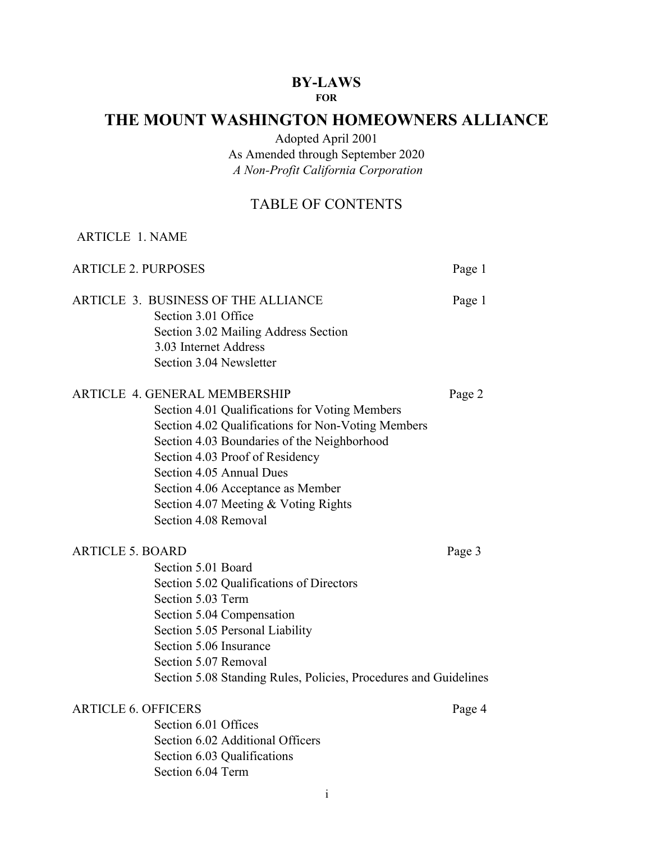# **BY-LAWS**

## **FOR**

## **THE MOUNT WASHINGTON HOMEOWNERS ALLIANCE**

Adopted April 2001

As Amended through September 2020 *A Non-Profit California Corporation*

## TABLE OF CONTENTS

| <b>ARTICLE 1. NAME</b>     |                                                                                                                                                                                                                                                                                                                                                                 |        |
|----------------------------|-----------------------------------------------------------------------------------------------------------------------------------------------------------------------------------------------------------------------------------------------------------------------------------------------------------------------------------------------------------------|--------|
| <b>ARTICLE 2. PURPOSES</b> |                                                                                                                                                                                                                                                                                                                                                                 | Page 1 |
|                            | ARTICLE 3. BUSINESS OF THE ALLIANCE<br>Section 3.01 Office<br>Section 3.02 Mailing Address Section<br>3.03 Internet Address<br>Section 3.04 Newsletter                                                                                                                                                                                                          | Page 1 |
|                            | <b>ARTICLE 4. GENERAL MEMBERSHIP</b><br>Section 4.01 Qualifications for Voting Members<br>Section 4.02 Qualifications for Non-Voting Members<br>Section 4.03 Boundaries of the Neighborhood<br>Section 4.03 Proof of Residency<br>Section 4.05 Annual Dues<br>Section 4.06 Acceptance as Member<br>Section 4.07 Meeting & Voting Rights<br>Section 4.08 Removal | Page 2 |
| <b>ARTICLE 5. BOARD</b>    | Section 5.01 Board<br>Section 5.02 Qualifications of Directors<br>Section 5.03 Term<br>Section 5.04 Compensation<br>Section 5.05 Personal Liability<br>Section 5.06 Insurance<br>Section 5.07 Removal<br>Section 5.08 Standing Rules, Policies, Procedures and Guidelines                                                                                       | Page 3 |
| <b>ARTICLE 6. OFFICERS</b> | Section 6.01 Offices<br>Section 6.02 Additional Officers<br>Section 6.03 Qualifications<br>Section 6.04 Term                                                                                                                                                                                                                                                    | Page 4 |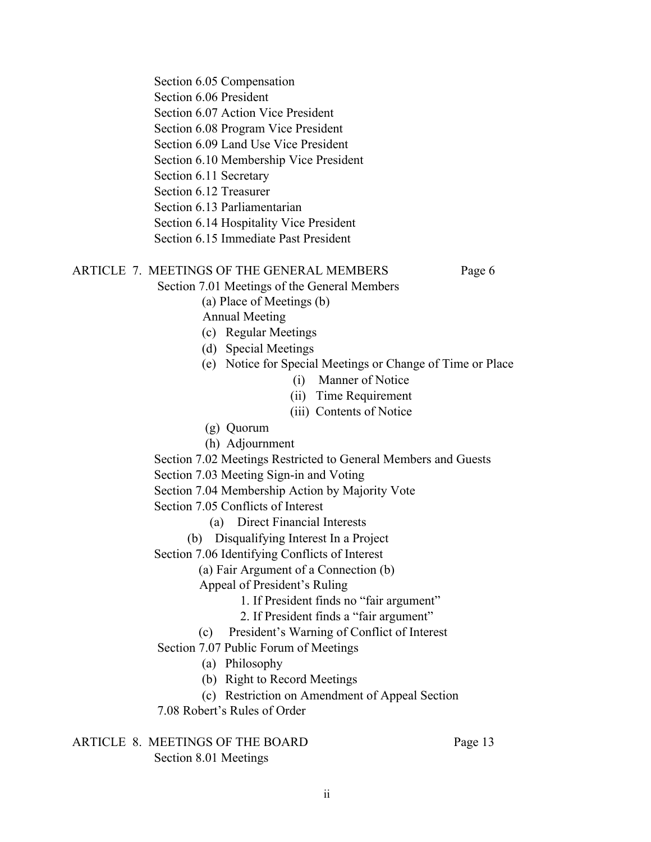Section 6.05 Compensation Section 6.06 President Section 6.07 Action Vice President Section 6.08 Program Vice President Section 6.09 Land Use Vice President Section 6.10 Membership Vice President Section 6.11 Secretary Section 6.12 Treasurer Section 6.13 Parliamentarian Section 6.14 Hospitality Vice President Section 6.15 Immediate Past President

#### ARTICLE 7. MEETINGS OF THE GENERAL MEMBERS Page 6

Section 7.01 Meetings of the General Members

(a) Place of Meetings (b)

Annual Meeting

- (c) Regular Meetings
- (d) Special Meetings
- (e) Notice for Special Meetings or Change of Time or Place
	- (i) Manner of Notice
	- (ii) Time Requirement
	- (iii) Contents of Notice
- (g) Quorum
- (h) Adjournment

Section 7.02 Meetings Restricted to General Members and Guests

Section 7.03 Meeting Sign-in and Voting

Section 7.04 Membership Action by Majority Vote

Section 7.05 Conflicts of Interest

- (a) Direct Financial Interests
- (b) Disqualifying Interest In a Project

Section 7.06 Identifying Conflicts of Interest

(a) Fair Argument of a Connection (b)

Appeal of President's Ruling

- 1. If President finds no "fair argument"
- 2. If President finds a "fair argument"
- (c) President's Warning of Conflict of Interest

Section 7.07 Public Forum of Meetings

- (a) Philosophy
- (b) Right to Record Meetings
- (c) Restriction on Amendment of Appeal Section

7.08 Robert's Rules of Order

ARTICLE 8. MEETINGS OF THE BOARD Page 13 Section 8.01 Meetings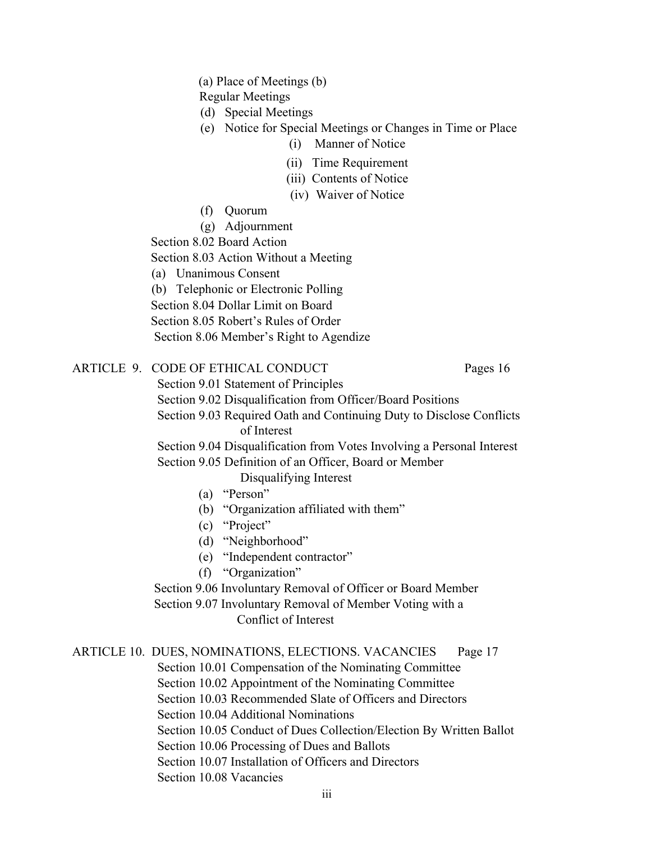(a) Place of Meetings (b)

Regular Meetings

- (d) Special Meetings
- (e) Notice for Special Meetings or Changes in Time or Place
	- (i) Manner of Notice
	- (ii) Time Requirement
	- (iii) Contents of Notice
	- (iv) Waiver of Notice
- (f) Quorum
- (g) Adjournment

Section 8.02 Board Action

Section 8.03 Action Without a Meeting

(a) Unanimous Consent

(b) Telephonic or Electronic Polling

Section 8.04 Dollar Limit on Board

Section 8.05 Robert's Rules of Order

Section 8.06 Member's Right to Agendize

ARTICLE 9. CODE OF ETHICAL CONDUCT Pages 16

Section 9.01 Statement of Principles

Section 9.02 Disqualification from Officer/Board Positions

Section 9.03 Required Oath and Continuing Duty to Disclose Conflicts of Interest

Section 9.04 Disqualification from Votes Involving a Personal Interest Section 9.05 Definition of an Officer, Board or Member

Disqualifying Interest

- (a) "Person"
- (b) "Organization affiliated with them"
- (c) "Project"
- (d) "Neighborhood"
- (e) "Independent contractor"
- (f) "Organization"

Section 9.06 Involuntary Removal of Officer or Board Member

Section 9.07 Involuntary Removal of Member Voting with a Conflict of Interest

ARTICLE 10. DUES, NOMINATIONS, ELECTIONS. VACANCIES Page 17

Section 10.01 Compensation of the Nominating Committee

Section 10.02 Appointment of the Nominating Committee

Section 10.03 Recommended Slate of Officers and Directors

Section 10.04 Additional Nominations

Section 10.05 Conduct of Dues Collection/Election By Written Ballot

Section 10.06 Processing of Dues and Ballots

Section 10.07 Installation of Officers and Directors

Section 10.08 Vacancies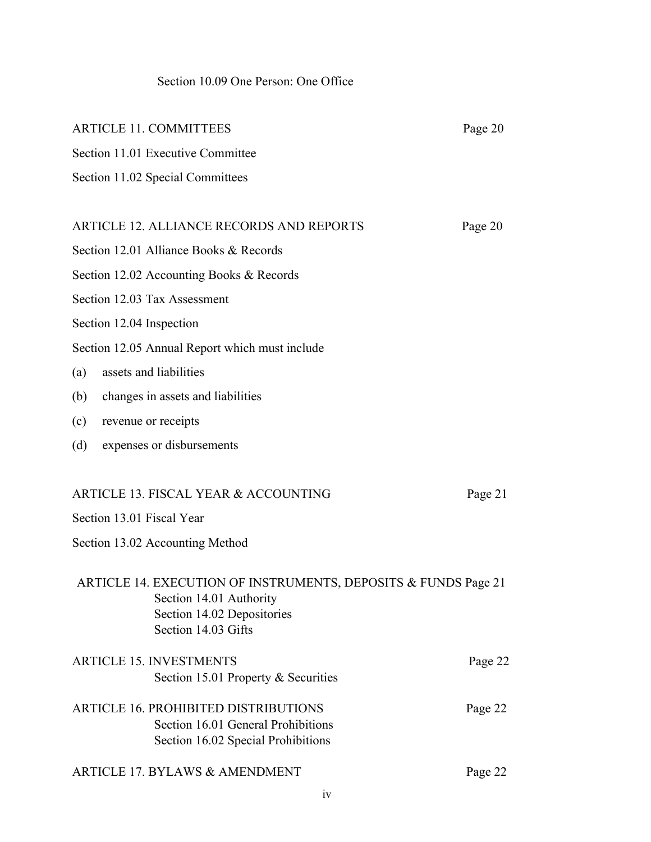## Section 10.09 One Person: One Office

| <b>ARTICLE 11. COMMITTEES</b>                                                                                                                  | Page 20 |
|------------------------------------------------------------------------------------------------------------------------------------------------|---------|
| Section 11.01 Executive Committee                                                                                                              |         |
| Section 11.02 Special Committees                                                                                                               |         |
|                                                                                                                                                |         |
| <b>ARTICLE 12. ALLIANCE RECORDS AND REPORTS</b>                                                                                                | Page 20 |
| Section 12.01 Alliance Books & Records                                                                                                         |         |
| Section 12.02 Accounting Books & Records                                                                                                       |         |
| Section 12.03 Tax Assessment                                                                                                                   |         |
| Section 12.04 Inspection                                                                                                                       |         |
| Section 12.05 Annual Report which must include                                                                                                 |         |
| assets and liabilities<br>(a)                                                                                                                  |         |
| (b)<br>changes in assets and liabilities                                                                                                       |         |
| (c)<br>revenue or receipts                                                                                                                     |         |
| (d)<br>expenses or disbursements                                                                                                               |         |
| <b>ARTICLE 13. FISCAL YEAR &amp; ACCOUNTING</b>                                                                                                | Page 21 |
| Section 13.01 Fiscal Year                                                                                                                      |         |
| Section 13.02 Accounting Method                                                                                                                |         |
| ARTICLE 14. EXECUTION OF INSTRUMENTS, DEPOSITS & FUNDS Page 21<br>Section 14.01 Authority<br>Section 14.02 Depositories<br>Section 14.03 Gifts |         |
| <b>ARTICLE 15. INVESTMENTS</b><br>Section 15.01 Property & Securities                                                                          | Page 22 |
| <b>ARTICLE 16. PROHIBITED DISTRIBUTIONS</b><br>Section 16.01 General Prohibitions<br>Section 16.02 Special Prohibitions                        | Page 22 |
| <b>ARTICLE 17. BYLAWS &amp; AMENDMENT</b>                                                                                                      | Page 22 |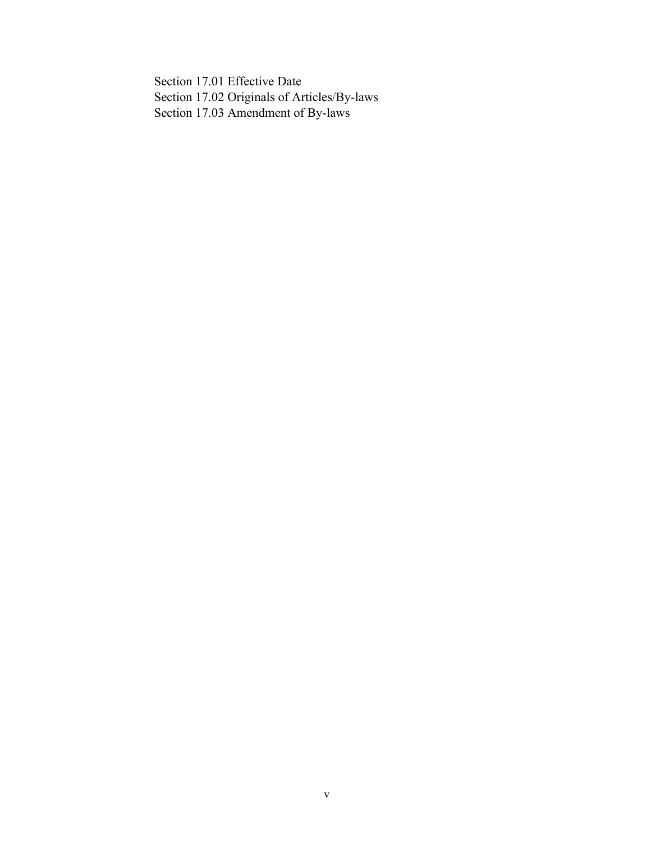Section 17.01 Effective Date Section 17.02 Originals of Articles/By-laws Section 17.03 Amendment of By-laws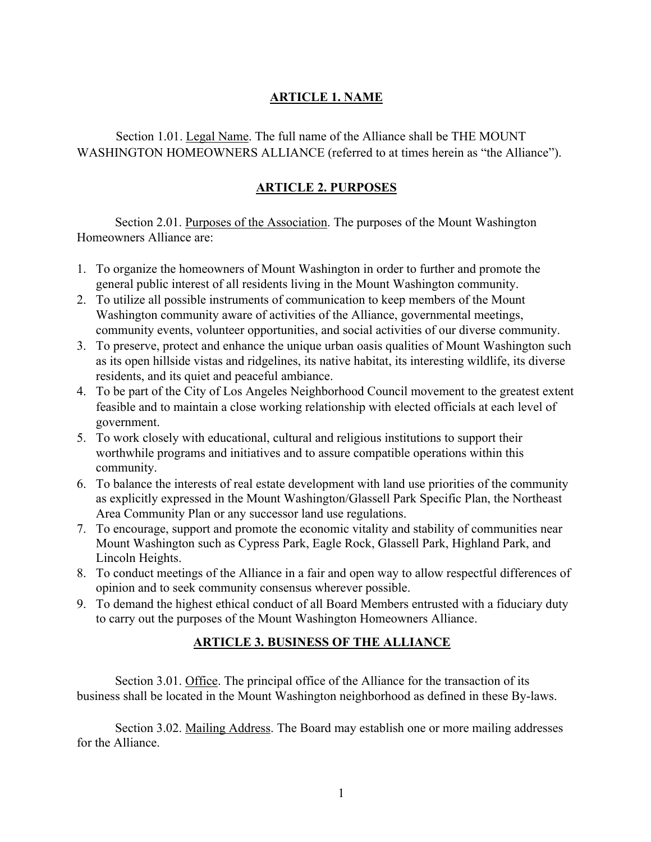## **ARTICLE 1. NAME**

Section 1.01. Legal Name. The full name of the Alliance shall be THE MOUNT WASHINGTON HOMEOWNERS ALLIANCE (referred to at times herein as "the Alliance").

## **ARTICLE 2. PURPOSES**

Section 2.01. Purposes of the Association. The purposes of the Mount Washington Homeowners Alliance are:

- 1. To organize the homeowners of Mount Washington in order to further and promote the general public interest of all residents living in the Mount Washington community.
- 2. To utilize all possible instruments of communication to keep members of the Mount Washington community aware of activities of the Alliance, governmental meetings, community events, volunteer opportunities, and social activities of our diverse community.
- 3. To preserve, protect and enhance the unique urban oasis qualities of Mount Washington such as its open hillside vistas and ridgelines, its native habitat, its interesting wildlife, its diverse residents, and its quiet and peaceful ambiance.
- 4. To be part of the City of Los Angeles Neighborhood Council movement to the greatest extent feasible and to maintain a close working relationship with elected officials at each level of government.
- 5. To work closely with educational, cultural and religious institutions to support their worthwhile programs and initiatives and to assure compatible operations within this community.
- 6. To balance the interests of real estate development with land use priorities of the community as explicitly expressed in the Mount Washington/Glassell Park Specific Plan, the Northeast Area Community Plan or any successor land use regulations.
- 7. To encourage, support and promote the economic vitality and stability of communities near Mount Washington such as Cypress Park, Eagle Rock, Glassell Park, Highland Park, and Lincoln Heights.
- 8. To conduct meetings of the Alliance in a fair and open way to allow respectful differences of opinion and to seek community consensus wherever possible.
- 9. To demand the highest ethical conduct of all Board Members entrusted with a fiduciary duty to carry out the purposes of the Mount Washington Homeowners Alliance.

## **ARTICLE 3. BUSINESS OF THE ALLIANCE**

Section 3.01. Office. The principal office of the Alliance for the transaction of its business shall be located in the Mount Washington neighborhood as defined in these By-laws.

Section 3.02. Mailing Address. The Board may establish one or more mailing addresses for the Alliance.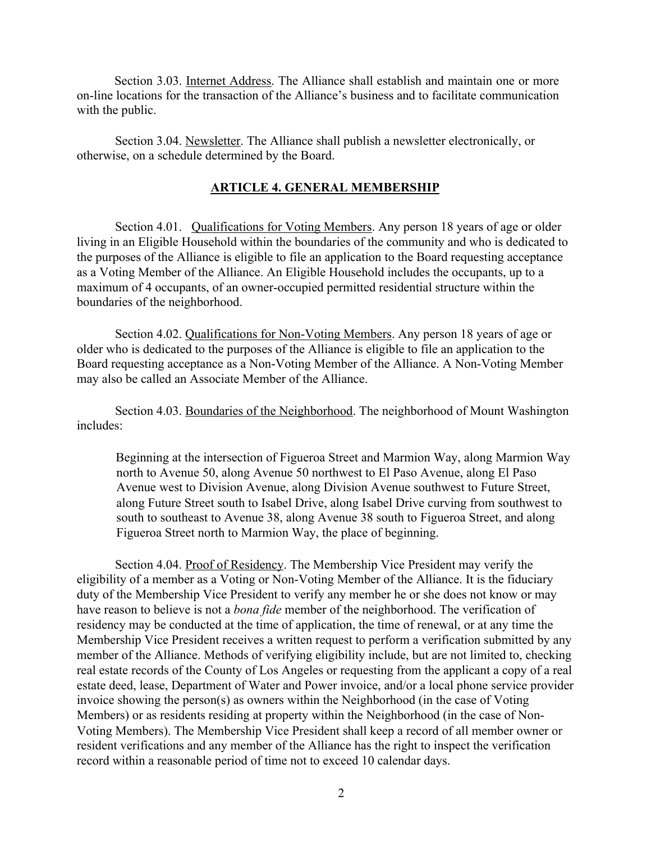Section 3.03. Internet Address. The Alliance shall establish and maintain one or more on-line locations for the transaction of the Alliance's business and to facilitate communication with the public.

Section 3.04. Newsletter. The Alliance shall publish a newsletter electronically, or otherwise, on a schedule determined by the Board.

#### **ARTICLE 4. GENERAL MEMBERSHIP**

Section 4.01. Qualifications for Voting Members. Any person 18 years of age or older living in an Eligible Household within the boundaries of the community and who is dedicated to the purposes of the Alliance is eligible to file an application to the Board requesting acceptance as a Voting Member of the Alliance. An Eligible Household includes the occupants, up to a maximum of 4 occupants, of an owner-occupied permitted residential structure within the boundaries of the neighborhood.

Section 4.02. Qualifications for Non-Voting Members. Any person 18 years of age or older who is dedicated to the purposes of the Alliance is eligible to file an application to the Board requesting acceptance as a Non-Voting Member of the Alliance. A Non-Voting Member may also be called an Associate Member of the Alliance.

Section 4.03. Boundaries of the Neighborhood. The neighborhood of Mount Washington includes:

Beginning at the intersection of Figueroa Street and Marmion Way, along Marmion Way north to Avenue 50, along Avenue 50 northwest to El Paso Avenue, along El Paso Avenue west to Division Avenue, along Division Avenue southwest to Future Street, along Future Street south to Isabel Drive, along Isabel Drive curving from southwest to south to southeast to Avenue 38, along Avenue 38 south to Figueroa Street, and along Figueroa Street north to Marmion Way, the place of beginning.

Section 4.04. Proof of Residency. The Membership Vice President may verify the eligibility of a member as a Voting or Non-Voting Member of the Alliance. It is the fiduciary duty of the Membership Vice President to verify any member he or she does not know or may have reason to believe is not a *bona fide* member of the neighborhood. The verification of residency may be conducted at the time of application, the time of renewal, or at any time the Membership Vice President receives a written request to perform a verification submitted by any member of the Alliance. Methods of verifying eligibility include, but are not limited to, checking real estate records of the County of Los Angeles or requesting from the applicant a copy of a real estate deed, lease, Department of Water and Power invoice, and/or a local phone service provider invoice showing the person(s) as owners within the Neighborhood (in the case of Voting Members) or as residents residing at property within the Neighborhood (in the case of Non-Voting Members). The Membership Vice President shall keep a record of all member owner or resident verifications and any member of the Alliance has the right to inspect the verification record within a reasonable period of time not to exceed 10 calendar days.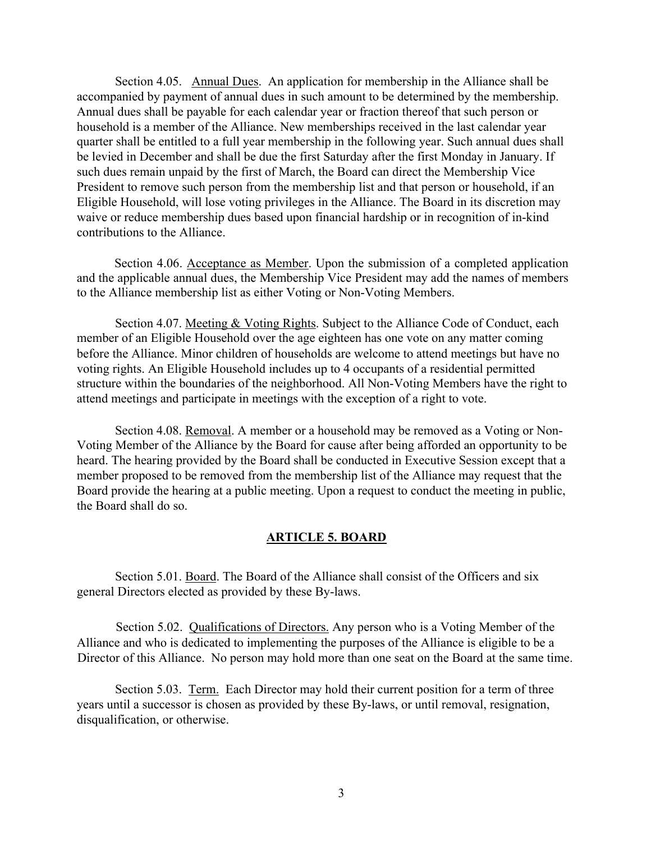Section 4.05. Annual Dues. An application for membership in the Alliance shall be accompanied by payment of annual dues in such amount to be determined by the membership. Annual dues shall be payable for each calendar year or fraction thereof that such person or household is a member of the Alliance. New memberships received in the last calendar year quarter shall be entitled to a full year membership in the following year. Such annual dues shall be levied in December and shall be due the first Saturday after the first Monday in January. If such dues remain unpaid by the first of March, the Board can direct the Membership Vice President to remove such person from the membership list and that person or household, if an Eligible Household, will lose voting privileges in the Alliance. The Board in its discretion may waive or reduce membership dues based upon financial hardship or in recognition of in-kind contributions to the Alliance.

Section 4.06. Acceptance as Member. Upon the submission of a completed application and the applicable annual dues, the Membership Vice President may add the names of members to the Alliance membership list as either Voting or Non-Voting Members.

Section 4.07. Meeting & Voting Rights. Subject to the Alliance Code of Conduct, each member of an Eligible Household over the age eighteen has one vote on any matter coming before the Alliance. Minor children of households are welcome to attend meetings but have no voting rights. An Eligible Household includes up to 4 occupants of a residential permitted structure within the boundaries of the neighborhood. All Non-Voting Members have the right to attend meetings and participate in meetings with the exception of a right to vote.

Section 4.08. Removal. A member or a household may be removed as a Voting or Non-Voting Member of the Alliance by the Board for cause after being afforded an opportunity to be heard. The hearing provided by the Board shall be conducted in Executive Session except that a member proposed to be removed from the membership list of the Alliance may request that the Board provide the hearing at a public meeting. Upon a request to conduct the meeting in public, the Board shall do so.

#### **ARTICLE 5. BOARD**

Section 5.01. Board. The Board of the Alliance shall consist of the Officers and six general Directors elected as provided by these By-laws.

Section 5.02. Qualifications of Directors. Any person who is a Voting Member of the Alliance and who is dedicated to implementing the purposes of the Alliance is eligible to be a Director of this Alliance. No person may hold more than one seat on the Board at the same time.

Section 5.03. Term. Each Director may hold their current position for a term of three years until a successor is chosen as provided by these By-laws, or until removal, resignation, disqualification, or otherwise.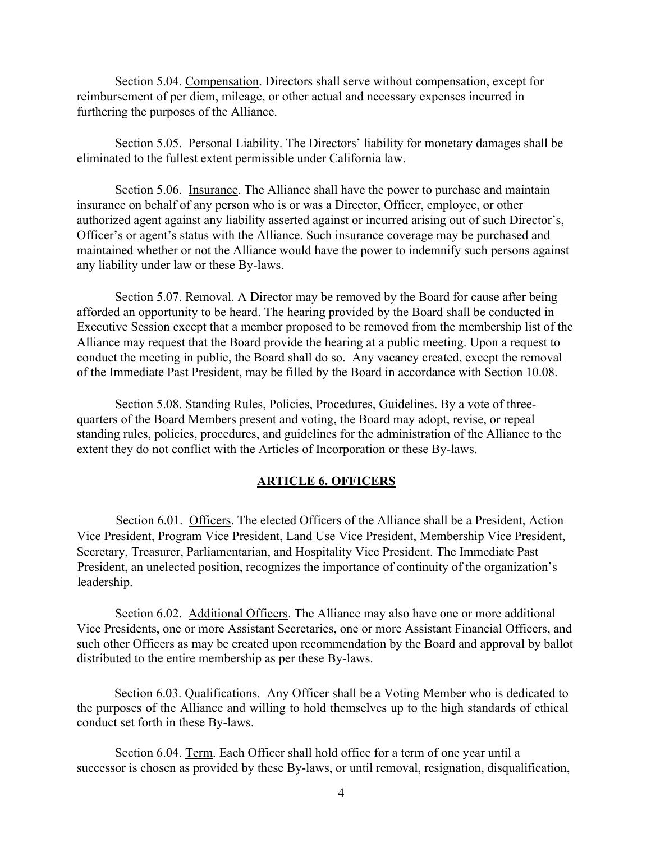Section 5.04. Compensation. Directors shall serve without compensation, except for reimbursement of per diem, mileage, or other actual and necessary expenses incurred in furthering the purposes of the Alliance.

Section 5.05. Personal Liability. The Directors' liability for monetary damages shall be eliminated to the fullest extent permissible under California law.

Section 5.06. Insurance. The Alliance shall have the power to purchase and maintain insurance on behalf of any person who is or was a Director, Officer, employee, or other authorized agent against any liability asserted against or incurred arising out of such Director's, Officer's or agent's status with the Alliance. Such insurance coverage may be purchased and maintained whether or not the Alliance would have the power to indemnify such persons against any liability under law or these By-laws.

Section 5.07. Removal. A Director may be removed by the Board for cause after being afforded an opportunity to be heard. The hearing provided by the Board shall be conducted in Executive Session except that a member proposed to be removed from the membership list of the Alliance may request that the Board provide the hearing at a public meeting. Upon a request to conduct the meeting in public, the Board shall do so. Any vacancy created, except the removal of the Immediate Past President, may be filled by the Board in accordance with Section 10.08.

Section 5.08. Standing Rules, Policies, Procedures, Guidelines. By a vote of threequarters of the Board Members present and voting, the Board may adopt, revise, or repeal standing rules, policies, procedures, and guidelines for the administration of the Alliance to the extent they do not conflict with the Articles of Incorporation or these By-laws.

#### **ARTICLE 6. OFFICERS**

Section 6.01. Officers. The elected Officers of the Alliance shall be a President, Action Vice President, Program Vice President, Land Use Vice President, Membership Vice President, Secretary, Treasurer, Parliamentarian, and Hospitality Vice President. The Immediate Past President, an unelected position, recognizes the importance of continuity of the organization's leadership.

Section 6.02. Additional Officers. The Alliance may also have one or more additional Vice Presidents, one or more Assistant Secretaries, one or more Assistant Financial Officers, and such other Officers as may be created upon recommendation by the Board and approval by ballot distributed to the entire membership as per these By-laws.

Section 6.03. Qualifications. Any Officer shall be a Voting Member who is dedicated to the purposes of the Alliance and willing to hold themselves up to the high standards of ethical conduct set forth in these By-laws.

Section 6.04. Term. Each Officer shall hold office for a term of one year until a successor is chosen as provided by these By-laws, or until removal, resignation, disqualification,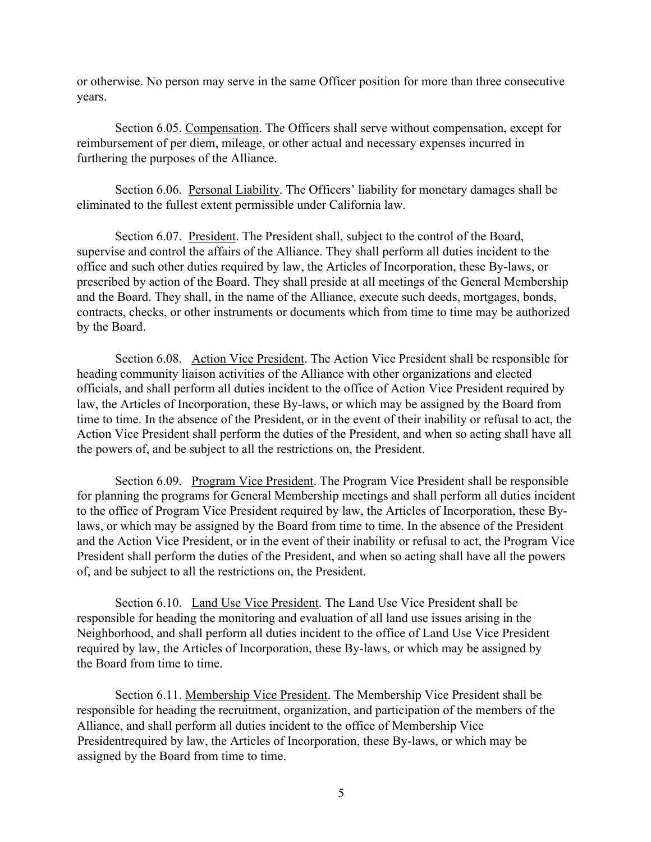or otherwise. No person may serve in the same Officer position for more than three consecutive years.

Section 6.05. Compensation. The Officers shall serve without compensation, except for reimbursement of per diem, mileage, or other actual and necessary expenses incurred in furthering the purposes of the Alliance.

Section 6.06. Personal Liability. The Officers' liability for monetary damages shall be eliminated to the fullest extent permissible under California law.

Section 6.07. President. The President shall, subject to the control of the Board, supervise and control the affairs of the Alliance. They shall perform all duties incident to the office and such other duties required by law, the Articles of Incorporation, these By-laws, or prescribed by action of the Board. They shall preside at all meetings of the General Membership and the Board. They shall, in the name of the Alliance, execute such deeds, mortgages, bonds, contracts, checks, or other instruments or documents which from time to time may be authorized by the Board.

Section 6.08. Action Vice President. The Action Vice President shall be responsible for heading community liaison activities of the Alliance with other organizations and elected officials, and shall perform all duties incident to the office of Action Vice President required by law, the Articles of Incorporation, these By-laws, or which may be assigned by the Board from time to time. In the absence of the President, or in the event of their inability or refusal to act, the Action Vice President shall perform the duties of the President, and when so acting shall have all the powers of, and be subject to all the restrictions on, the President.

Section 6.09. Program Vice President. The Program Vice President shall be responsible for planning the programs for General Membership meetings and shall perform all duties incident to the office of Program Vice President required by law, the Articles of Incorporation, these Bylaws, or which may be assigned by the Board from time to time. In the absence of the President and the Action Vice President, or in the event of their inability or refusal to act, the Program Vice President shall perform the duties of the President, and when so acting shall have all the powers of, and be subject to all the restrictions on, the President.

Section 6.10. Land Use Vice President. The Land Use Vice President shall be responsible for heading the monitoring and evaluation of all land use issues arising in the Neighborhood, and shall perform all duties incident to the office of Land Use Vice President required by law, the Articles of Incorporation, these By-laws, or which may be assigned by the Board from time to time.

Section 6.11. Membership Vice President. The Membership Vice President shall be responsible for heading the recruitment, organization, and participation of the members of the Alliance, and shall perform all duties incident to the office of Membership Vice Presidentrequired by law, the Articles of Incorporation, these By-laws, or which may be assigned by the Board from time to time.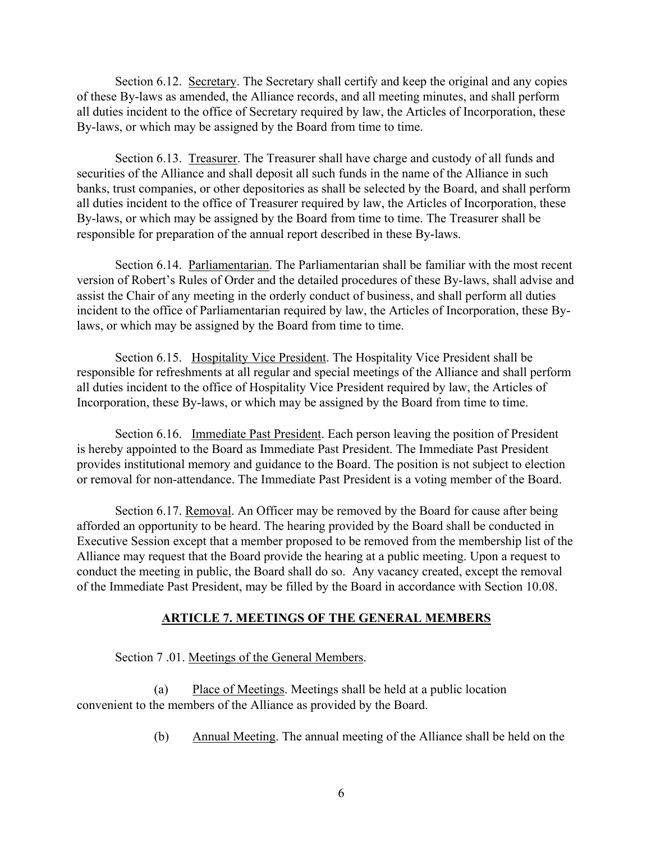Section 6.12. Secretary. The Secretary shall certify and keep the original and any copies of these By-laws as amended, the Alliance records, and all meeting minutes, and shall perform all duties incident to the office of Secretary required by law, the Articles of Incorporation, these By-laws, or which may be assigned by the Board from time to time.

Section 6.13. Treasurer. The Treasurer shall have charge and custody of all funds and securities of the Alliance and shall deposit all such funds in the name of the Alliance in such banks, trust companies, or other depositories as shall be selected by the Board, and shall perform all duties incident to the office of Treasurer required by law, the Articles of Incorporation, these By-laws, or which may be assigned by the Board from time to time. The Treasurer shall be responsible for preparation of the annual report described in these By-laws.

Section 6.14. Parliamentarian. The Parliamentarian shall be familiar with the most recent version of Robert's Rules of Order and the detailed procedures of these By-laws, shall advise and assist the Chair of any meeting in the orderly conduct of business, and shall perform all duties incident to the office of Parliamentarian required by law, the Articles of Incorporation, these Bylaws, or which may be assigned by the Board from time to time.

Section 6.15. Hospitality Vice President. The Hospitality Vice President shall be responsible for refreshments at all regular and special meetings of the Alliance and shall perform all duties incident to the office of Hospitality Vice President required by law, the Articles of Incorporation, these By-laws, or which may be assigned by the Board from time to time.

Section 6.16. Immediate Past President. Each person leaving the position of President is hereby appointed to the Board as Immediate Past President. The Immediate Past President provides institutional memory and guidance to the Board. The position is not subject to election or removal for non-attendance. The Immediate Past President is a voting member of the Board.

Section 6.17. Removal. An Officer may be removed by the Board for cause after being afforded an opportunity to be heard. The hearing provided by the Board shall be conducted in Executive Session except that a member proposed to be removed from the membership list of the Alliance may request that the Board provide the hearing at a public meeting. Upon a request to conduct the meeting in public, the Board shall do so. Any vacancy created, except the removal of the Immediate Past President, may be filled by the Board in accordance with Section 10.08.

#### **ARTICLE 7. MEETINGS OF THE GENERAL MEMBERS**

Section 7 .01. Meetings of the General Members.

(a) Place of Meetings. Meetings shall be held at a public location convenient to the members of the Alliance as provided by the Board.

(b) Annual Meeting. The annual meeting of the Alliance shall be held on the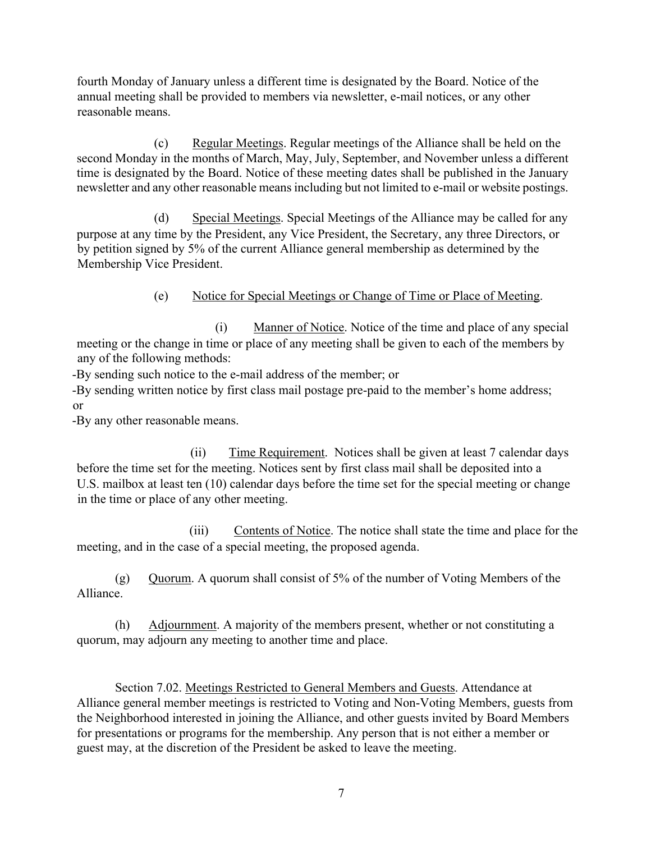fourth Monday of January unless a different time is designated by the Board. Notice of the annual meeting shall be provided to members via newsletter, e-mail notices, or any other reasonable means.

(c) Regular Meetings. Regular meetings of the Alliance shall be held on the second Monday in the months of March, May, July, September, and November unless a different time is designated by the Board. Notice of these meeting dates shall be published in the January newsletter and any other reasonable means including but not limited to e-mail or website postings.

(d) Special Meetings. Special Meetings of the Alliance may be called for any purpose at any time by the President, any Vice President, the Secretary, any three Directors, or by petition signed by 5% of the current Alliance general membership as determined by the Membership Vice President.

## (e) Notice for Special Meetings or Change of Time or Place of Meeting.

(i) Manner of Notice. Notice of the time and place of any special meeting or the change in time or place of any meeting shall be given to each of the members by any of the following methods:

-By sending such notice to the e-mail address of the member; or

-By sending written notice by first class mail postage pre-paid to the member's home address; or

-By any other reasonable means.

(ii) Time Requirement. Notices shall be given at least 7 calendar days before the time set for the meeting. Notices sent by first class mail shall be deposited into a U.S. mailbox at least ten (10) calendar days before the time set for the special meeting or change in the time or place of any other meeting.

(iii) Contents of Notice. The notice shall state the time and place for the meeting, and in the case of a special meeting, the proposed agenda.

(g) Quorum. A quorum shall consist of 5% of the number of Voting Members of the Alliance.

(h) Adjournment. A majority of the members present, whether or not constituting a quorum, may adjourn any meeting to another time and place.

Section 7.02. Meetings Restricted to General Members and Guests. Attendance at Alliance general member meetings is restricted to Voting and Non-Voting Members, guests from the Neighborhood interested in joining the Alliance, and other guests invited by Board Members for presentations or programs for the membership. Any person that is not either a member or guest may, at the discretion of the President be asked to leave the meeting.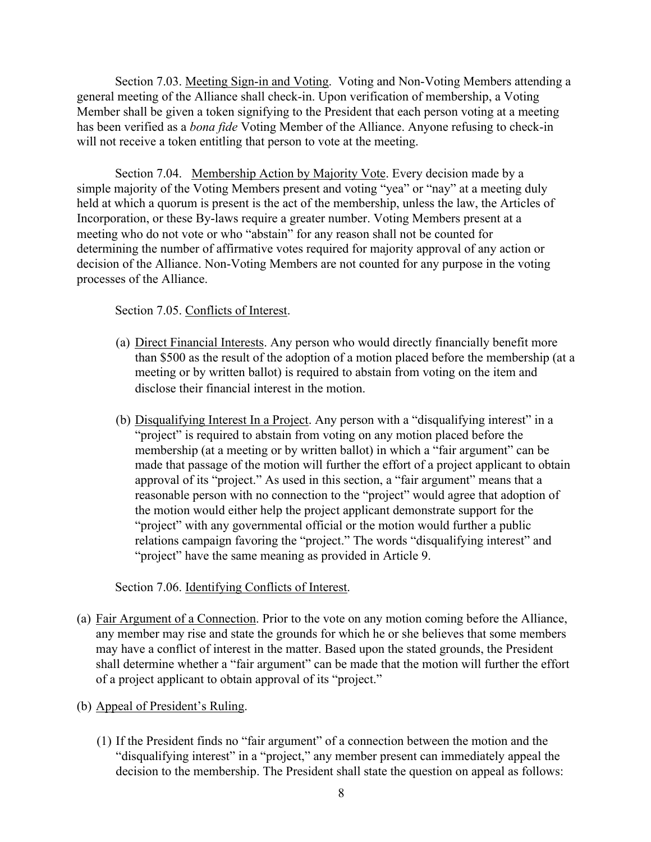Section 7.03. Meeting Sign-in and Voting. Voting and Non-Voting Members attending a general meeting of the Alliance shall check-in. Upon verification of membership, a Voting Member shall be given a token signifying to the President that each person voting at a meeting has been verified as a *bona fide* Voting Member of the Alliance. Anyone refusing to check-in will not receive a token entitling that person to vote at the meeting.

Section 7.04. Membership Action by Majority Vote. Every decision made by a simple majority of the Voting Members present and voting "yea" or "nay" at a meeting duly held at which a quorum is present is the act of the membership, unless the law, the Articles of Incorporation, or these By-laws require a greater number. Voting Members present at a meeting who do not vote or who "abstain" for any reason shall not be counted for determining the number of affirmative votes required for majority approval of any action or decision of the Alliance. Non-Voting Members are not counted for any purpose in the voting processes of the Alliance.

#### Section 7.05. Conflicts of Interest.

- (a) Direct Financial Interests. Any person who would directly financially benefit more than \$500 as the result of the adoption of a motion placed before the membership (at a meeting or by written ballot) is required to abstain from voting on the item and disclose their financial interest in the motion.
- (b) Disqualifying Interest In a Project. Any person with a "disqualifying interest" in a "project" is required to abstain from voting on any motion placed before the membership (at a meeting or by written ballot) in which a "fair argument" can be made that passage of the motion will further the effort of a project applicant to obtain approval of its "project." As used in this section, a "fair argument" means that a reasonable person with no connection to the "project" would agree that adoption of the motion would either help the project applicant demonstrate support for the "project" with any governmental official or the motion would further a public relations campaign favoring the "project." The words "disqualifying interest" and "project" have the same meaning as provided in Article 9.

#### Section 7.06. Identifying Conflicts of Interest.

(a) Fair Argument of a Connection. Prior to the vote on any motion coming before the Alliance, any member may rise and state the grounds for which he or she believes that some members may have a conflict of interest in the matter. Based upon the stated grounds, the President shall determine whether a "fair argument" can be made that the motion will further the effort of a project applicant to obtain approval of its "project."

#### (b) Appeal of President's Ruling.

(1) If the President finds no "fair argument" of a connection between the motion and the "disqualifying interest" in a "project," any member present can immediately appeal the decision to the membership. The President shall state the question on appeal as follows: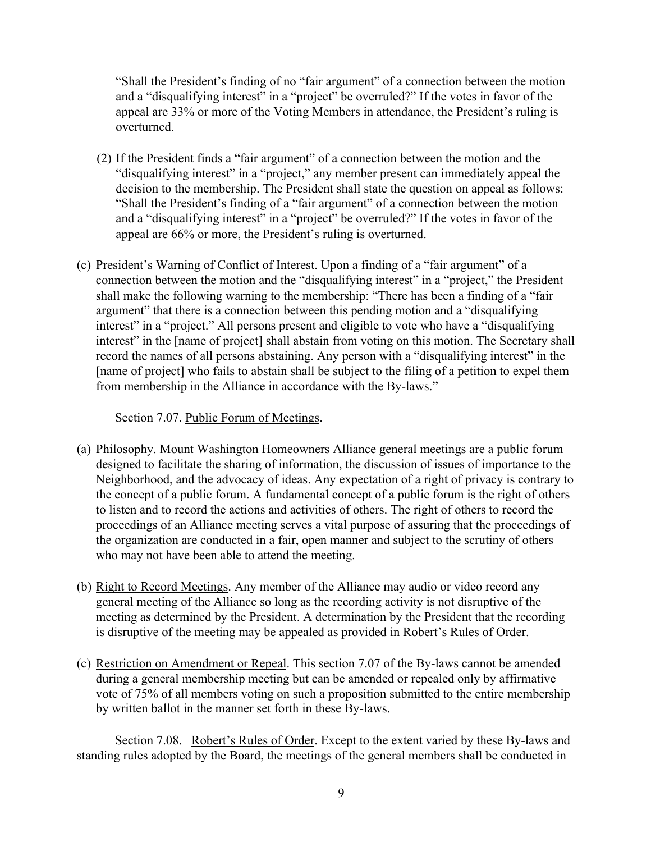"Shall the President's finding of no "fair argument" of a connection between the motion and a "disqualifying interest" in a "project" be overruled?" If the votes in favor of the appeal are 33% or more of the Voting Members in attendance, the President's ruling is overturned.

- (2) If the President finds a "fair argument" of a connection between the motion and the "disqualifying interest" in a "project," any member present can immediately appeal the decision to the membership. The President shall state the question on appeal as follows: "Shall the President's finding of a "fair argument" of a connection between the motion and a "disqualifying interest" in a "project" be overruled?" If the votes in favor of the appeal are 66% or more, the President's ruling is overturned.
- (c) President's Warning of Conflict of Interest. Upon a finding of a "fair argument" of a connection between the motion and the "disqualifying interest" in a "project," the President shall make the following warning to the membership: "There has been a finding of a "fair argument" that there is a connection between this pending motion and a "disqualifying interest" in a "project." All persons present and eligible to vote who have a "disqualifying interest" in the [name of project] shall abstain from voting on this motion. The Secretary shall record the names of all persons abstaining. Any person with a "disqualifying interest" in the [name of project] who fails to abstain shall be subject to the filing of a petition to expel them from membership in the Alliance in accordance with the By-laws."

Section 7.07. Public Forum of Meetings.

- (a) Philosophy. Mount Washington Homeowners Alliance general meetings are a public forum designed to facilitate the sharing of information, the discussion of issues of importance to the Neighborhood, and the advocacy of ideas. Any expectation of a right of privacy is contrary to the concept of a public forum. A fundamental concept of a public forum is the right of others to listen and to record the actions and activities of others. The right of others to record the proceedings of an Alliance meeting serves a vital purpose of assuring that the proceedings of the organization are conducted in a fair, open manner and subject to the scrutiny of others who may not have been able to attend the meeting.
- (b) Right to Record Meetings. Any member of the Alliance may audio or video record any general meeting of the Alliance so long as the recording activity is not disruptive of the meeting as determined by the President. A determination by the President that the recording is disruptive of the meeting may be appealed as provided in Robert's Rules of Order.
- (c) Restriction on Amendment or Repeal. This section 7.07 of the By-laws cannot be amended during a general membership meeting but can be amended or repealed only by affirmative vote of 75% of all members voting on such a proposition submitted to the entire membership by written ballot in the manner set forth in these By-laws.

Section 7.08. Robert's Rules of Order. Except to the extent varied by these By-laws and standing rules adopted by the Board, the meetings of the general members shall be conducted in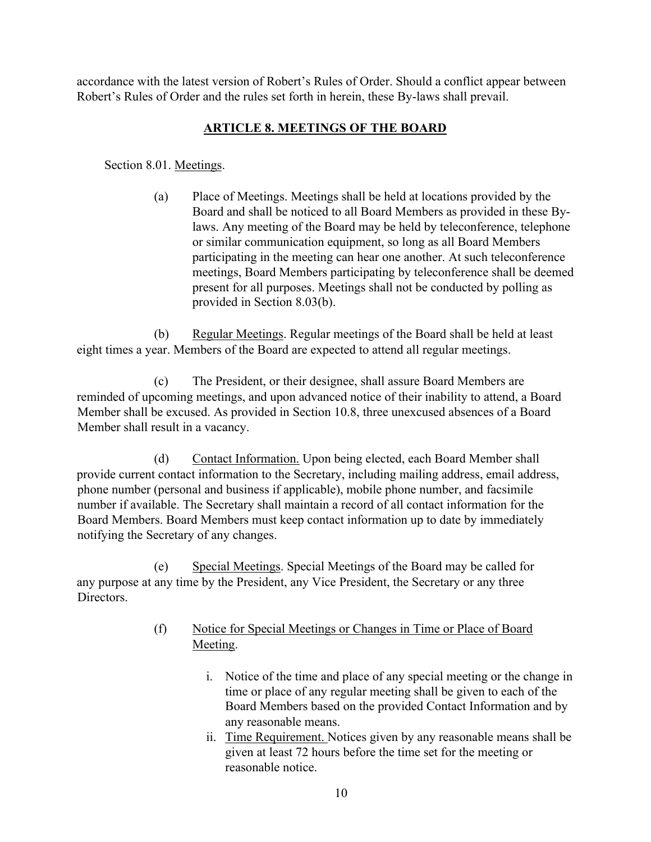accordance with the latest version of Robert's Rules of Order. Should a conflict appear between Robert's Rules of Order and the rules set forth in herein, these By-laws shall prevail.

## **ARTICLE 8. MEETINGS OF THE BOARD**

Section 8.01. Meetings.

(a) Place of Meetings. Meetings shall be held at locations provided by the Board and shall be noticed to all Board Members as provided in these Bylaws. Any meeting of the Board may be held by teleconference, telephone or similar communication equipment, so long as all Board Members participating in the meeting can hear one another. At such teleconference meetings, Board Members participating by teleconference shall be deemed present for all purposes. Meetings shall not be conducted by polling as provided in Section 8.03(b).

(b) Regular Meetings. Regular meetings of the Board shall be held at least eight times a year. Members of the Board are expected to attend all regular meetings.

(c) The President, or their designee, shall assure Board Members are reminded of upcoming meetings, and upon advanced notice of their inability to attend, a Board Member shall be excused. As provided in Section 10.8, three unexcused absences of a Board Member shall result in a vacancy.

(d) Contact Information. Upon being elected, each Board Member shall provide current contact information to the Secretary, including mailing address, email address, phone number (personal and business if applicable), mobile phone number, and facsimile number if available. The Secretary shall maintain a record of all contact information for the Board Members. Board Members must keep contact information up to date by immediately notifying the Secretary of any changes.

(e) Special Meetings. Special Meetings of the Board may be called for any purpose at any time by the President, any Vice President, the Secretary or any three Directors.

- (f) Notice for Special Meetings or Changes in Time or Place of Board Meeting.
	- i. Notice of the time and place of any special meeting or the change in time or place of any regular meeting shall be given to each of the Board Members based on the provided Contact Information and by any reasonable means.
	- ii. Time Requirement. Notices given by any reasonable means shall be given at least 72 hours before the time set for the meeting or reasonable notice.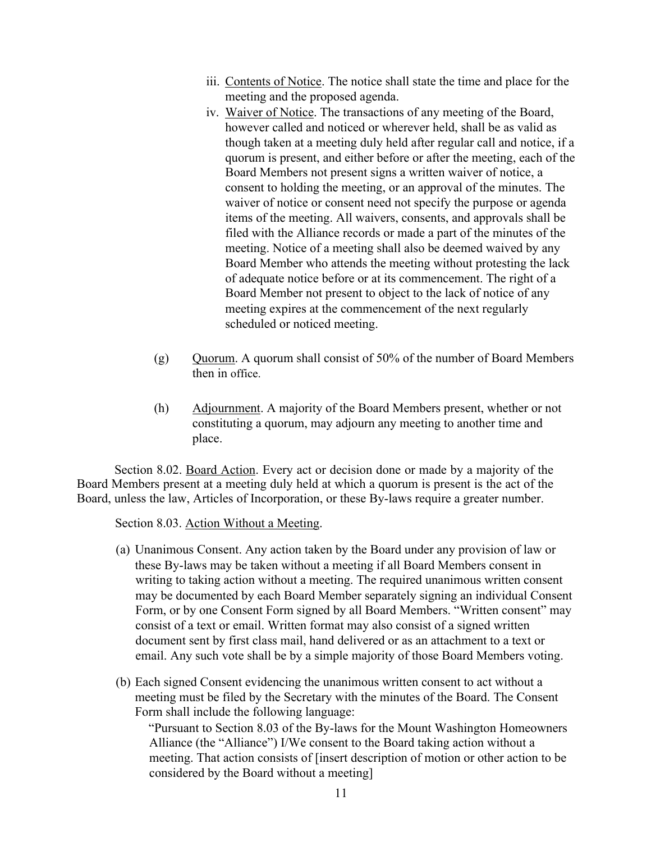- iii. Contents of Notice. The notice shall state the time and place for the meeting and the proposed agenda.
- iv. Waiver of Notice. The transactions of any meeting of the Board, however called and noticed or wherever held, shall be as valid as though taken at a meeting duly held after regular call and notice, if a quorum is present, and either before or after the meeting, each of the Board Members not present signs a written waiver of notice, a consent to holding the meeting, or an approval of the minutes. The waiver of notice or consent need not specify the purpose or agenda items of the meeting. All waivers, consents, and approvals shall be filed with the Alliance records or made a part of the minutes of the meeting. Notice of a meeting shall also be deemed waived by any Board Member who attends the meeting without protesting the lack of adequate notice before or at its commencement. The right of a Board Member not present to object to the lack of notice of any meeting expires at the commencement of the next regularly scheduled or noticed meeting.
- (g)  $Quorum. A quorum shall consist of 50% of the number of Board Members$ then in office.
- (h) Adjournment. A majority of the Board Members present, whether or not constituting a quorum, may adjourn any meeting to another time and place.

Section 8.02. Board Action. Every act or decision done or made by a majority of the Board Members present at a meeting duly held at which a quorum is present is the act of the Board, unless the law, Articles of Incorporation, or these By-laws require a greater number.

Section 8.03. Action Without a Meeting.

- (a) Unanimous Consent. Any action taken by the Board under any provision of law or these By-laws may be taken without a meeting if all Board Members consent in writing to taking action without a meeting. The required unanimous written consent may be documented by each Board Member separately signing an individual Consent Form, or by one Consent Form signed by all Board Members. "Written consent" may consist of a text or email. Written format may also consist of a signed written document sent by first class mail, hand delivered or as an attachment to a text or email. Any such vote shall be by a simple majority of those Board Members voting.
- (b) Each signed Consent evidencing the unanimous written consent to act without a meeting must be filed by the Secretary with the minutes of the Board. The Consent Form shall include the following language:

"Pursuant to Section 8.03 of the By-laws for the Mount Washington Homeowners Alliance (the "Alliance") I/We consent to the Board taking action without a meeting. That action consists of [insert description of motion or other action to be considered by the Board without a meeting]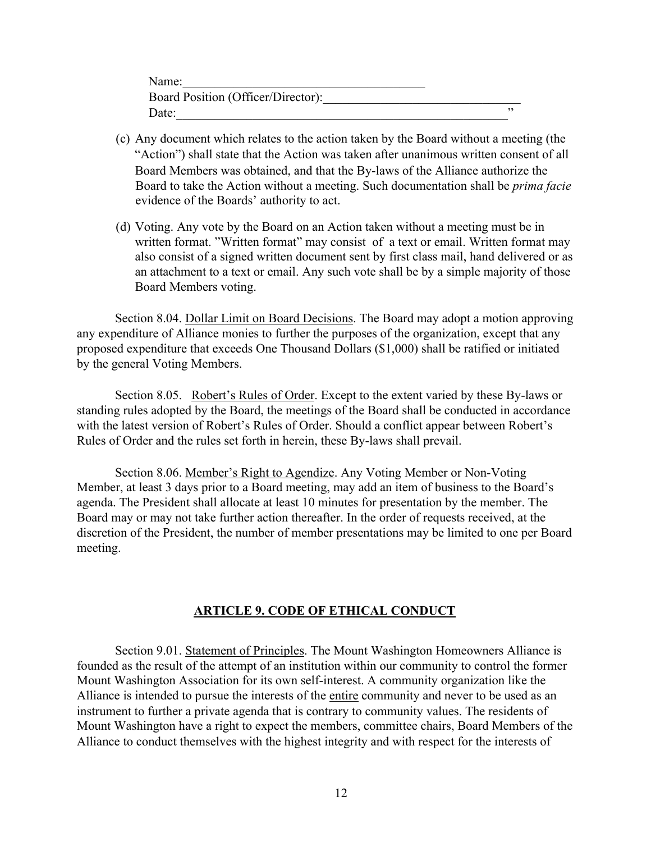| Name:                              |  |
|------------------------------------|--|
| Board Position (Officer/Director): |  |
| Date:                              |  |

- (c) Any document which relates to the action taken by the Board without a meeting (the "Action") shall state that the Action was taken after unanimous written consent of all Board Members was obtained, and that the By-laws of the Alliance authorize the Board to take the Action without a meeting. Such documentation shall be *prima facie* evidence of the Boards' authority to act.
- (d) Voting. Any vote by the Board on an Action taken without a meeting must be in written format. "Written format" may consist of a text or email. Written format may also consist of a signed written document sent by first class mail, hand delivered or as an attachment to a text or email. Any such vote shall be by a simple majority of those Board Members voting.

Section 8.04. Dollar Limit on Board Decisions. The Board may adopt a motion approving any expenditure of Alliance monies to further the purposes of the organization, except that any proposed expenditure that exceeds One Thousand Dollars (\$1,000) shall be ratified or initiated by the general Voting Members.

Section 8.05. Robert's Rules of Order. Except to the extent varied by these By-laws or standing rules adopted by the Board, the meetings of the Board shall be conducted in accordance with the latest version of Robert's Rules of Order. Should a conflict appear between Robert's Rules of Order and the rules set forth in herein, these By-laws shall prevail.

Section 8.06. Member's Right to Agendize. Any Voting Member or Non-Voting Member, at least 3 days prior to a Board meeting, may add an item of business to the Board's agenda. The President shall allocate at least 10 minutes for presentation by the member. The Board may or may not take further action thereafter. In the order of requests received, at the discretion of the President, the number of member presentations may be limited to one per Board meeting.

#### **ARTICLE 9. CODE OF ETHICAL CONDUCT**

Section 9.01. Statement of Principles. The Mount Washington Homeowners Alliance is founded as the result of the attempt of an institution within our community to control the former Mount Washington Association for its own self-interest. A community organization like the Alliance is intended to pursue the interests of the entire community and never to be used as an instrument to further a private agenda that is contrary to community values. The residents of Mount Washington have a right to expect the members, committee chairs, Board Members of the Alliance to conduct themselves with the highest integrity and with respect for the interests of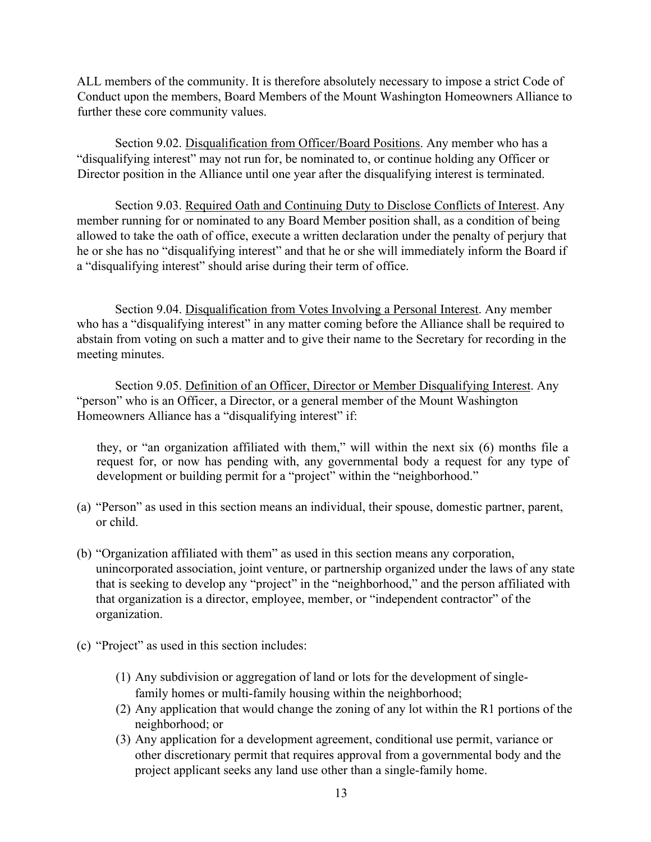ALL members of the community. It is therefore absolutely necessary to impose a strict Code of Conduct upon the members, Board Members of the Mount Washington Homeowners Alliance to further these core community values.

Section 9.02. Disqualification from Officer/Board Positions. Any member who has a "disqualifying interest" may not run for, be nominated to, or continue holding any Officer or Director position in the Alliance until one year after the disqualifying interest is terminated.

Section 9.03. Required Oath and Continuing Duty to Disclose Conflicts of Interest. Any member running for or nominated to any Board Member position shall, as a condition of being allowed to take the oath of office, execute a written declaration under the penalty of perjury that he or she has no "disqualifying interest" and that he or she will immediately inform the Board if a "disqualifying interest" should arise during their term of office.

Section 9.04. Disqualification from Votes Involving a Personal Interest. Any member who has a "disqualifying interest" in any matter coming before the Alliance shall be required to abstain from voting on such a matter and to give their name to the Secretary for recording in the meeting minutes.

Section 9.05. Definition of an Officer, Director or Member Disqualifying Interest. Any "person" who is an Officer, a Director, or a general member of the Mount Washington Homeowners Alliance has a "disqualifying interest" if:

they, or "an organization affiliated with them," will within the next six (6) months file a request for, or now has pending with, any governmental body a request for any type of development or building permit for a "project" within the "neighborhood."

- (a) "Person" as used in this section means an individual, their spouse, domestic partner, parent, or child.
- (b) "Organization affiliated with them" as used in this section means any corporation, unincorporated association, joint venture, or partnership organized under the laws of any state that is seeking to develop any "project" in the "neighborhood," and the person affiliated with that organization is a director, employee, member, or "independent contractor" of the organization.
- (c) "Project" as used in this section includes:
	- (1) Any subdivision or aggregation of land or lots for the development of singlefamily homes or multi-family housing within the neighborhood;
	- (2) Any application that would change the zoning of any lot within the R1 portions of the neighborhood; or
	- (3) Any application for a development agreement, conditional use permit, variance or other discretionary permit that requires approval from a governmental body and the project applicant seeks any land use other than a single-family home.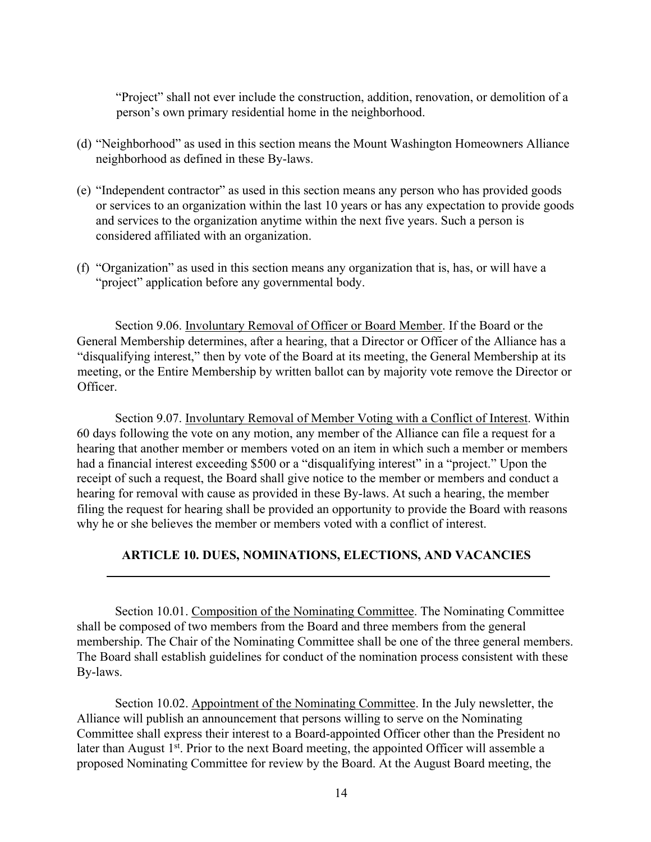"Project" shall not ever include the construction, addition, renovation, or demolition of a person's own primary residential home in the neighborhood.

- (d) "Neighborhood" as used in this section means the Mount Washington Homeowners Alliance neighborhood as defined in these By-laws.
- (e) "Independent contractor" as used in this section means any person who has provided goods or services to an organization within the last 10 years or has any expectation to provide goods and services to the organization anytime within the next five years. Such a person is considered affiliated with an organization.
- (f) "Organization" as used in this section means any organization that is, has, or will have a "project" application before any governmental body.

Section 9.06. Involuntary Removal of Officer or Board Member. If the Board or the General Membership determines, after a hearing, that a Director or Officer of the Alliance has a "disqualifying interest," then by vote of the Board at its meeting, the General Membership at its meeting, or the Entire Membership by written ballot can by majority vote remove the Director or Officer.

Section 9.07. Involuntary Removal of Member Voting with a Conflict of Interest. Within 60 days following the vote on any motion, any member of the Alliance can file a request for a hearing that another member or members voted on an item in which such a member or members had a financial interest exceeding \$500 or a "disqualifying interest" in a "project." Upon the receipt of such a request, the Board shall give notice to the member or members and conduct a hearing for removal with cause as provided in these By-laws. At such a hearing, the member filing the request for hearing shall be provided an opportunity to provide the Board with reasons why he or she believes the member or members voted with a conflict of interest.

#### **ARTICLE 10. DUES, NOMINATIONS, ELECTIONS, AND VACANCIES**

Section 10.01. Composition of the Nominating Committee. The Nominating Committee shall be composed of two members from the Board and three members from the general membership. The Chair of the Nominating Committee shall be one of the three general members. The Board shall establish guidelines for conduct of the nomination process consistent with these By-laws.

Section 10.02. Appointment of the Nominating Committee. In the July newsletter, the Alliance will publish an announcement that persons willing to serve on the Nominating Committee shall express their interest to a Board-appointed Officer other than the President no later than August 1<sup>st</sup>. Prior to the next Board meeting, the appointed Officer will assemble a proposed Nominating Committee for review by the Board. At the August Board meeting, the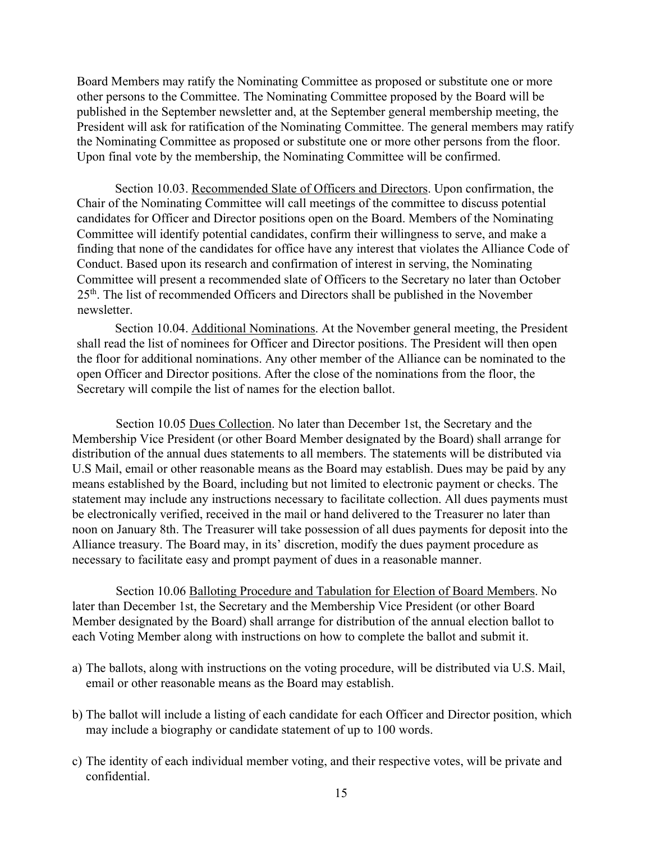Board Members may ratify the Nominating Committee as proposed or substitute one or more other persons to the Committee. The Nominating Committee proposed by the Board will be published in the September newsletter and, at the September general membership meeting, the President will ask for ratification of the Nominating Committee. The general members may ratify the Nominating Committee as proposed or substitute one or more other persons from the floor. Upon final vote by the membership, the Nominating Committee will be confirmed.

Section 10.03. Recommended Slate of Officers and Directors. Upon confirmation, the Chair of the Nominating Committee will call meetings of the committee to discuss potential candidates for Officer and Director positions open on the Board. Members of the Nominating Committee will identify potential candidates, confirm their willingness to serve, and make a finding that none of the candidates for office have any interest that violates the Alliance Code of Conduct. Based upon its research and confirmation of interest in serving, the Nominating Committee will present a recommended slate of Officers to the Secretary no later than October 25th. The list of recommended Officers and Directors shall be published in the November newsletter.

Section 10.04. Additional Nominations. At the November general meeting, the President shall read the list of nominees for Officer and Director positions. The President will then open the floor for additional nominations. Any other member of the Alliance can be nominated to the open Officer and Director positions. After the close of the nominations from the floor, the Secretary will compile the list of names for the election ballot.

Section 10.05 Dues Collection. No later than December 1st, the Secretary and the Membership Vice President (or other Board Member designated by the Board) shall arrange for distribution of the annual dues statements to all members. The statements will be distributed via U.S Mail, email or other reasonable means as the Board may establish. Dues may be paid by any means established by the Board, including but not limited to electronic payment or checks. The statement may include any instructions necessary to facilitate collection. All dues payments must be electronically verified, received in the mail or hand delivered to the Treasurer no later than noon on January 8th. The Treasurer will take possession of all dues payments for deposit into the Alliance treasury. The Board may, in its' discretion, modify the dues payment procedure as necessary to facilitate easy and prompt payment of dues in a reasonable manner.

Section 10.06 Balloting Procedure and Tabulation for Election of Board Members. No later than December 1st, the Secretary and the Membership Vice President (or other Board Member designated by the Board) shall arrange for distribution of the annual election ballot to each Voting Member along with instructions on how to complete the ballot and submit it.

- a) The ballots, along with instructions on the voting procedure, will be distributed via U.S. Mail, email or other reasonable means as the Board may establish.
- b) The ballot will include a listing of each candidate for each Officer and Director position, which may include a biography or candidate statement of up to 100 words.
- c) The identity of each individual member voting, and their respective votes, will be private and confidential.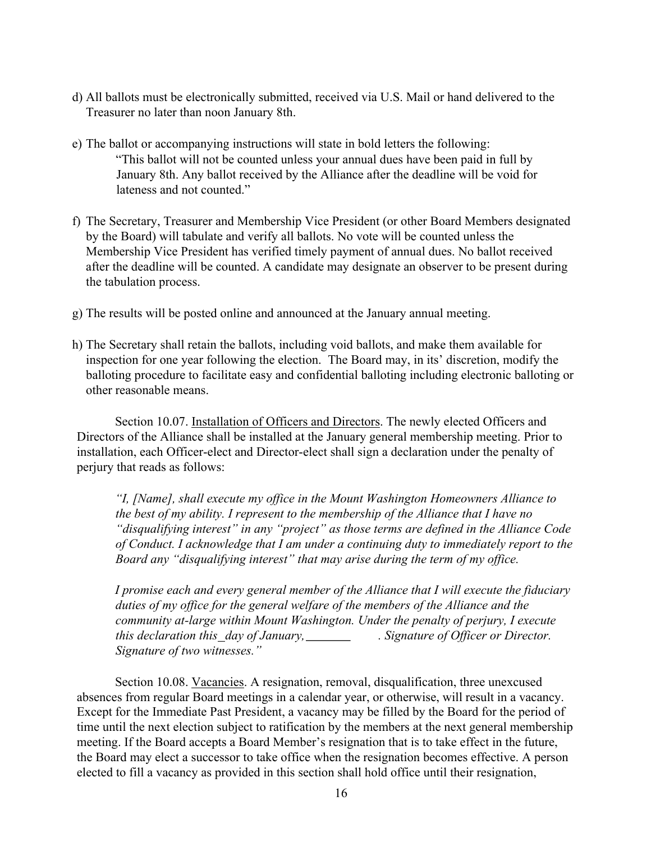- d) All ballots must be electronically submitted, received via U.S. Mail or hand delivered to the Treasurer no later than noon January 8th.
- e) The ballot or accompanying instructions will state in bold letters the following: "This ballot will not be counted unless your annual dues have been paid in full by January 8th. Any ballot received by the Alliance after the deadline will be void for lateness and not counted."
- f) The Secretary, Treasurer and Membership Vice President (or other Board Members designated by the Board) will tabulate and verify all ballots. No vote will be counted unless the Membership Vice President has verified timely payment of annual dues. No ballot received after the deadline will be counted. A candidate may designate an observer to be present during the tabulation process.
- g) The results will be posted online and announced at the January annual meeting.
- h) The Secretary shall retain the ballots, including void ballots, and make them available for inspection for one year following the election. The Board may, in its' discretion, modify the balloting procedure to facilitate easy and confidential balloting including electronic balloting or other reasonable means.

Section 10.07. Installation of Officers and Directors. The newly elected Officers and Directors of the Alliance shall be installed at the January general membership meeting. Prior to installation, each Officer-elect and Director-elect shall sign a declaration under the penalty of perjury that reads as follows:

*"I, [Name], shall execute my office in the Mount Washington Homeowners Alliance to the best of my ability. I represent to the membership of the Alliance that I have no "disqualifying interest" in any "project" as those terms are defined in the Alliance Code of Conduct. I acknowledge that I am under a continuing duty to immediately report to the Board any "disqualifying interest" that may arise during the term of my office.* 

*I promise each and every general member of the Alliance that I will execute the fiduciary duties of my office for the general welfare of the members of the Alliance and the community at-large within Mount Washington. Under the penalty of perjury, I execute this declaration this\_day of January, \_\_\_\_\_\_\_\_\_\_. Signature of Officer or Director. Signature of two witnesses."* 

Section 10.08. Vacancies. A resignation, removal, disqualification, three unexcused absences from regular Board meetings in a calendar year, or otherwise, will result in a vacancy. Except for the Immediate Past President, a vacancy may be filled by the Board for the period of time until the next election subject to ratification by the members at the next general membership meeting. If the Board accepts a Board Member's resignation that is to take effect in the future, the Board may elect a successor to take office when the resignation becomes effective. A person elected to fill a vacancy as provided in this section shall hold office until their resignation,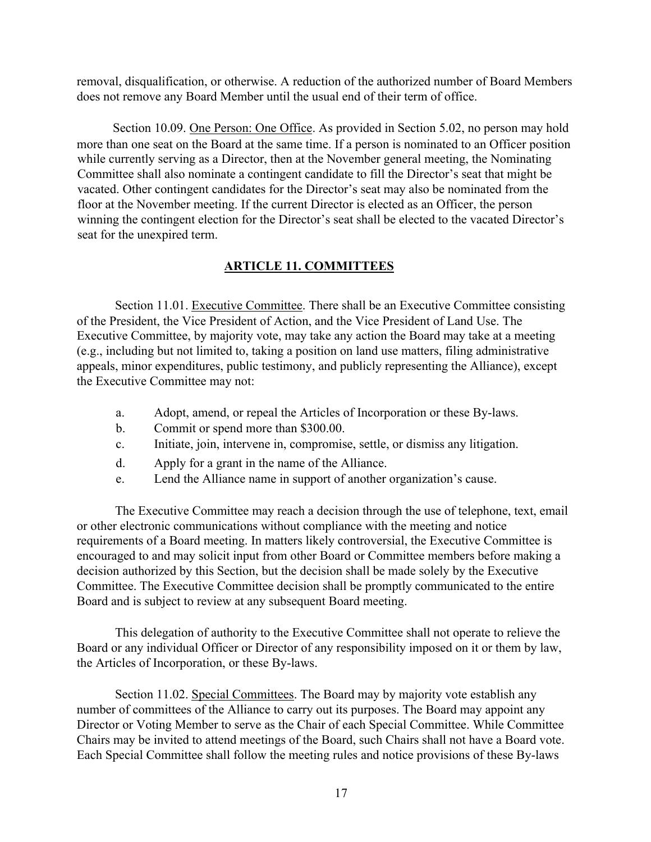removal, disqualification, or otherwise. A reduction of the authorized number of Board Members does not remove any Board Member until the usual end of their term of office.

Section 10.09. One Person: One Office. As provided in Section 5.02, no person may hold more than one seat on the Board at the same time. If a person is nominated to an Officer position while currently serving as a Director, then at the November general meeting, the Nominating Committee shall also nominate a contingent candidate to fill the Director's seat that might be vacated. Other contingent candidates for the Director's seat may also be nominated from the floor at the November meeting. If the current Director is elected as an Officer, the person winning the contingent election for the Director's seat shall be elected to the vacated Director's seat for the unexpired term.

## **ARTICLE 11. COMMITTEES**

Section 11.01. Executive Committee. There shall be an Executive Committee consisting of the President, the Vice President of Action, and the Vice President of Land Use. The Executive Committee, by majority vote, may take any action the Board may take at a meeting (e.g., including but not limited to, taking a position on land use matters, filing administrative appeals, minor expenditures, public testimony, and publicly representing the Alliance), except the Executive Committee may not:

- a. Adopt, amend, or repeal the Articles of Incorporation or these By-laws.
- b. Commit or spend more than \$300.00.
- c. Initiate, join, intervene in, compromise, settle, or dismiss any litigation.
- d. Apply for a grant in the name of the Alliance.
- e. Lend the Alliance name in support of another organization's cause.

The Executive Committee may reach a decision through the use of telephone, text, email or other electronic communications without compliance with the meeting and notice requirements of a Board meeting. In matters likely controversial, the Executive Committee is encouraged to and may solicit input from other Board or Committee members before making a decision authorized by this Section, but the decision shall be made solely by the Executive Committee. The Executive Committee decision shall be promptly communicated to the entire Board and is subject to review at any subsequent Board meeting.

This delegation of authority to the Executive Committee shall not operate to relieve the Board or any individual Officer or Director of any responsibility imposed on it or them by law, the Articles of Incorporation, or these By-laws.

Section 11.02. Special Committees. The Board may by majority vote establish any number of committees of the Alliance to carry out its purposes. The Board may appoint any Director or Voting Member to serve as the Chair of each Special Committee. While Committee Chairs may be invited to attend meetings of the Board, such Chairs shall not have a Board vote. Each Special Committee shall follow the meeting rules and notice provisions of these By-laws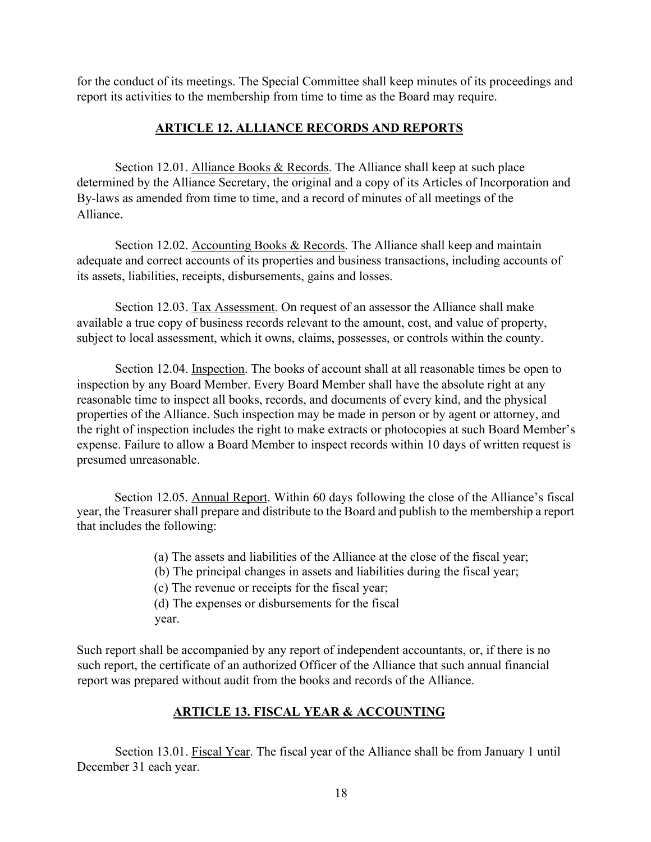for the conduct of its meetings. The Special Committee shall keep minutes of its proceedings and report its activities to the membership from time to time as the Board may require.

### **ARTICLE 12. ALLIANCE RECORDS AND REPORTS**

Section 12.01. Alliance Books & Records. The Alliance shall keep at such place determined by the Alliance Secretary, the original and a copy of its Articles of Incorporation and By-laws as amended from time to time, and a record of minutes of all meetings of the Alliance.

Section 12.02. Accounting Books & Records. The Alliance shall keep and maintain adequate and correct accounts of its properties and business transactions, including accounts of its assets, liabilities, receipts, disbursements, gains and losses.

Section 12.03. Tax Assessment. On request of an assessor the Alliance shall make available a true copy of business records relevant to the amount, cost, and value of property, subject to local assessment, which it owns, claims, possesses, or controls within the county.

Section 12.04. Inspection. The books of account shall at all reasonable times be open to inspection by any Board Member. Every Board Member shall have the absolute right at any reasonable time to inspect all books, records, and documents of every kind, and the physical properties of the Alliance. Such inspection may be made in person or by agent or attorney, and the right of inspection includes the right to make extracts or photocopies at such Board Member's expense. Failure to allow a Board Member to inspect records within 10 days of written request is presumed unreasonable.

Section 12.05. Annual Report. Within 60 days following the close of the Alliance's fiscal year, the Treasurer shall prepare and distribute to the Board and publish to the membership a report that includes the following:

(a) The assets and liabilities of the Alliance at the close of the fiscal year;

(b) The principal changes in assets and liabilities during the fiscal year;

(c) The revenue or receipts for the fiscal year;

(d) The expenses or disbursements for the fiscal year.

Such report shall be accompanied by any report of independent accountants, or, if there is no such report, the certificate of an authorized Officer of the Alliance that such annual financial report was prepared without audit from the books and records of the Alliance.

## **ARTICLE 13. FISCAL YEAR & ACCOUNTING**

Section 13.01. Fiscal Year. The fiscal year of the Alliance shall be from January 1 until December 31 each year.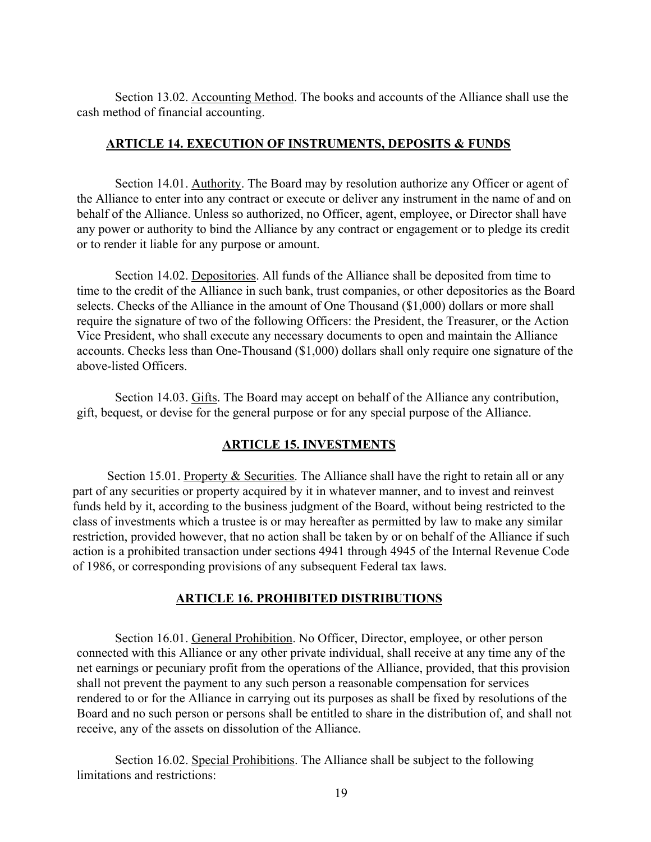Section 13.02. Accounting Method. The books and accounts of the Alliance shall use the cash method of financial accounting.

### **ARTICLE 14. EXECUTION OF INSTRUMENTS, DEPOSITS & FUNDS**

Section 14.01. Authority. The Board may by resolution authorize any Officer or agent of the Alliance to enter into any contract or execute or deliver any instrument in the name of and on behalf of the Alliance. Unless so authorized, no Officer, agent, employee, or Director shall have any power or authority to bind the Alliance by any contract or engagement or to pledge its credit or to render it liable for any purpose or amount.

Section 14.02. Depositories. All funds of the Alliance shall be deposited from time to time to the credit of the Alliance in such bank, trust companies, or other depositories as the Board selects. Checks of the Alliance in the amount of One Thousand (\$1,000) dollars or more shall require the signature of two of the following Officers: the President, the Treasurer, or the Action Vice President, who shall execute any necessary documents to open and maintain the Alliance accounts. Checks less than One-Thousand (\$1,000) dollars shall only require one signature of the above-listed Officers.

Section 14.03. Gifts. The Board may accept on behalf of the Alliance any contribution, gift, bequest, or devise for the general purpose or for any special purpose of the Alliance.

## **ARTICLE 15. INVESTMENTS**

Section 15.01. Property  $\&$  Securities. The Alliance shall have the right to retain all or any part of any securities or property acquired by it in whatever manner, and to invest and reinvest funds held by it, according to the business judgment of the Board, without being restricted to the class of investments which a trustee is or may hereafter as permitted by law to make any similar restriction, provided however, that no action shall be taken by or on behalf of the Alliance if such action is a prohibited transaction under sections 4941 through 4945 of the Internal Revenue Code of 1986, or corresponding provisions of any subsequent Federal tax laws.

## **ARTICLE 16. PROHIBITED DISTRIBUTIONS**

Section 16.01. General Prohibition. No Officer, Director, employee, or other person connected with this Alliance or any other private individual, shall receive at any time any of the net earnings or pecuniary profit from the operations of the Alliance, provided, that this provision shall not prevent the payment to any such person a reasonable compensation for services rendered to or for the Alliance in carrying out its purposes as shall be fixed by resolutions of the Board and no such person or persons shall be entitled to share in the distribution of, and shall not receive, any of the assets on dissolution of the Alliance.

Section 16.02. Special Prohibitions. The Alliance shall be subject to the following limitations and restrictions: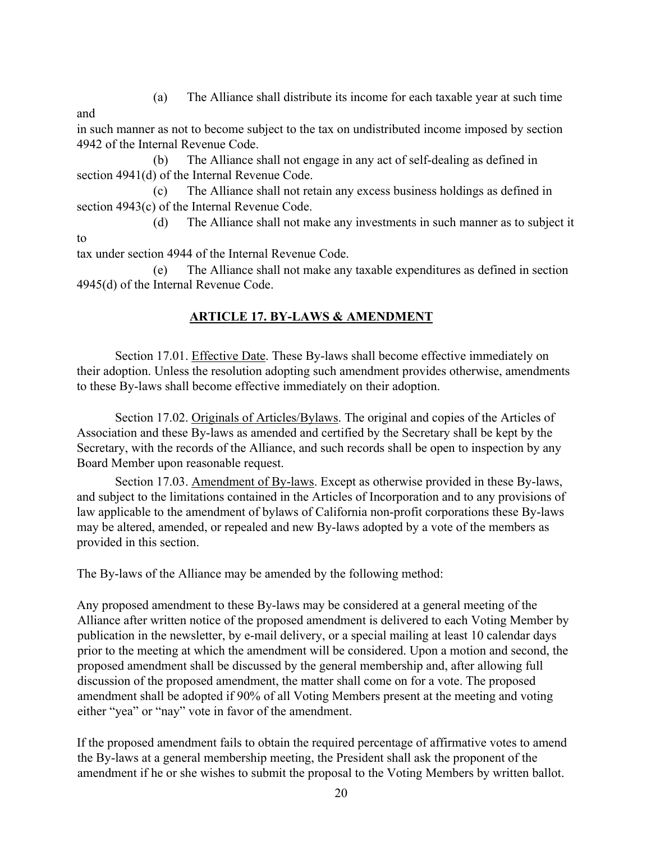(a) The Alliance shall distribute its income for each taxable year at such time

and

in such manner as not to become subject to the tax on undistributed income imposed by section 4942 of the Internal Revenue Code.

(b) The Alliance shall not engage in any act of self-dealing as defined in section 4941(d) of the Internal Revenue Code.

(c) The Alliance shall not retain any excess business holdings as defined in section 4943(c) of the Internal Revenue Code.

(d) The Alliance shall not make any investments in such manner as to subject it to

tax under section 4944 of the Internal Revenue Code.

(e) The Alliance shall not make any taxable expenditures as defined in section 4945(d) of the Internal Revenue Code.

## **ARTICLE 17. BY-LAWS & AMENDMENT**

Section 17.01. Effective Date. These By-laws shall become effective immediately on their adoption. Unless the resolution adopting such amendment provides otherwise, amendments to these By-laws shall become effective immediately on their adoption.

Section 17.02. Originals of Articles/Bylaws. The original and copies of the Articles of Association and these By-laws as amended and certified by the Secretary shall be kept by the Secretary, with the records of the Alliance, and such records shall be open to inspection by any Board Member upon reasonable request.

Section 17.03. Amendment of By-laws. Except as otherwise provided in these By-laws, and subject to the limitations contained in the Articles of Incorporation and to any provisions of law applicable to the amendment of bylaws of California non-profit corporations these By-laws may be altered, amended, or repealed and new By-laws adopted by a vote of the members as provided in this section.

The By-laws of the Alliance may be amended by the following method:

Any proposed amendment to these By-laws may be considered at a general meeting of the Alliance after written notice of the proposed amendment is delivered to each Voting Member by publication in the newsletter, by e-mail delivery, or a special mailing at least 10 calendar days prior to the meeting at which the amendment will be considered. Upon a motion and second, the proposed amendment shall be discussed by the general membership and, after allowing full discussion of the proposed amendment, the matter shall come on for a vote. The proposed amendment shall be adopted if 90% of all Voting Members present at the meeting and voting either "yea" or "nay" vote in favor of the amendment.

If the proposed amendment fails to obtain the required percentage of affirmative votes to amend the By-laws at a general membership meeting, the President shall ask the proponent of the amendment if he or she wishes to submit the proposal to the Voting Members by written ballot.